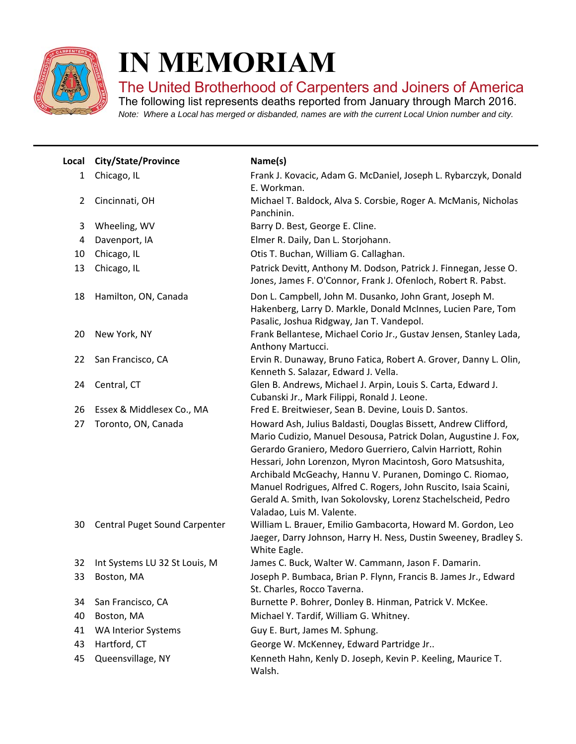

I

## **IN MEMORIAM**

The United Brotherhood of Carpenters and Joiners of America

The following list represents deaths reported from January through March 2016. *Note: Where a Local has merged or disbanded, names are with the current Local Union number and city.*

| Local          | City/State/Province           | Name(s)                                                                                                                                                                                                                                                                                                                                                                                                                                                                                   |
|----------------|-------------------------------|-------------------------------------------------------------------------------------------------------------------------------------------------------------------------------------------------------------------------------------------------------------------------------------------------------------------------------------------------------------------------------------------------------------------------------------------------------------------------------------------|
| 1              | Chicago, IL                   | Frank J. Kovacic, Adam G. McDaniel, Joseph L. Rybarczyk, Donald<br>E. Workman.                                                                                                                                                                                                                                                                                                                                                                                                            |
| $\overline{2}$ | Cincinnati, OH                | Michael T. Baldock, Alva S. Corsbie, Roger A. McManis, Nicholas<br>Panchinin.                                                                                                                                                                                                                                                                                                                                                                                                             |
| 3              | Wheeling, WV                  | Barry D. Best, George E. Cline.                                                                                                                                                                                                                                                                                                                                                                                                                                                           |
| 4              | Davenport, IA                 | Elmer R. Daily, Dan L. Storjohann.                                                                                                                                                                                                                                                                                                                                                                                                                                                        |
| 10             | Chicago, IL                   | Otis T. Buchan, William G. Callaghan.                                                                                                                                                                                                                                                                                                                                                                                                                                                     |
| 13             | Chicago, IL                   | Patrick Devitt, Anthony M. Dodson, Patrick J. Finnegan, Jesse O.<br>Jones, James F. O'Connor, Frank J. Ofenloch, Robert R. Pabst.                                                                                                                                                                                                                                                                                                                                                         |
| 18             | Hamilton, ON, Canada          | Don L. Campbell, John M. Dusanko, John Grant, Joseph M.<br>Hakenberg, Larry D. Markle, Donald McInnes, Lucien Pare, Tom<br>Pasalic, Joshua Ridgway, Jan T. Vandepol.                                                                                                                                                                                                                                                                                                                      |
| 20             | New York, NY                  | Frank Bellantese, Michael Corio Jr., Gustav Jensen, Stanley Lada,<br>Anthony Martucci.                                                                                                                                                                                                                                                                                                                                                                                                    |
| 22             | San Francisco, CA             | Ervin R. Dunaway, Bruno Fatica, Robert A. Grover, Danny L. Olin,<br>Kenneth S. Salazar, Edward J. Vella.                                                                                                                                                                                                                                                                                                                                                                                  |
| 24             | Central, CT                   | Glen B. Andrews, Michael J. Arpin, Louis S. Carta, Edward J.<br>Cubanski Jr., Mark Filippi, Ronald J. Leone.                                                                                                                                                                                                                                                                                                                                                                              |
| 26             | Essex & Middlesex Co., MA     | Fred E. Breitwieser, Sean B. Devine, Louis D. Santos.                                                                                                                                                                                                                                                                                                                                                                                                                                     |
| 27             | Toronto, ON, Canada           | Howard Ash, Julius Baldasti, Douglas Bissett, Andrew Clifford,<br>Mario Cudizio, Manuel Desousa, Patrick Dolan, Augustine J. Fox,<br>Gerardo Graniero, Medoro Guerriero, Calvin Harriott, Rohin<br>Hessari, John Lorenzon, Myron Macintosh, Goro Matsushita,<br>Archibald McGeachy, Hannu V. Puranen, Domingo C. Riomao,<br>Manuel Rodrigues, Alfred C. Rogers, John Ruscito, Isaia Scaini,<br>Gerald A. Smith, Ivan Sokolovsky, Lorenz Stachelscheid, Pedro<br>Valadao, Luis M. Valente. |
| 30             | Central Puget Sound Carpenter | William L. Brauer, Emilio Gambacorta, Howard M. Gordon, Leo<br>Jaeger, Darry Johnson, Harry H. Ness, Dustin Sweeney, Bradley S.<br>White Eagle.                                                                                                                                                                                                                                                                                                                                           |
| 32             | Int Systems LU 32 St Louis, M | James C. Buck, Walter W. Cammann, Jason F. Damarin.                                                                                                                                                                                                                                                                                                                                                                                                                                       |
| 33             | Boston, MA                    | Joseph P. Bumbaca, Brian P. Flynn, Francis B. James Jr., Edward<br>St. Charles, Rocco Taverna.                                                                                                                                                                                                                                                                                                                                                                                            |
| 34             | San Francisco, CA             | Burnette P. Bohrer, Donley B. Hinman, Patrick V. McKee.                                                                                                                                                                                                                                                                                                                                                                                                                                   |
| 40             | Boston, MA                    | Michael Y. Tardif, William G. Whitney.                                                                                                                                                                                                                                                                                                                                                                                                                                                    |
| 41             | <b>WA Interior Systems</b>    | Guy E. Burt, James M. Sphung.                                                                                                                                                                                                                                                                                                                                                                                                                                                             |
| 43             | Hartford, CT                  | George W. McKenney, Edward Partridge Jr                                                                                                                                                                                                                                                                                                                                                                                                                                                   |
| 45             | Queensvillage, NY             | Kenneth Hahn, Kenly D. Joseph, Kevin P. Keeling, Maurice T.<br>Walsh.                                                                                                                                                                                                                                                                                                                                                                                                                     |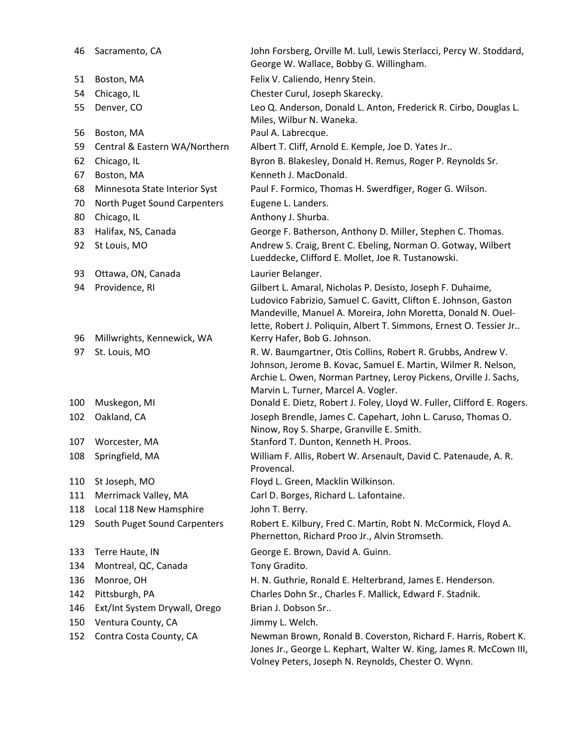| 46  | Sacramento, CA                | John Forsberg, Orville M. Lull, Lewis Sterlacci, Percy W. Stoddard,<br>George W. Wallace, Bobby G. Willingham.                                                                                                                                                      |
|-----|-------------------------------|---------------------------------------------------------------------------------------------------------------------------------------------------------------------------------------------------------------------------------------------------------------------|
| 51  | Boston, MA                    | Felix V. Caliendo, Henry Stein.                                                                                                                                                                                                                                     |
| 54  | Chicago, IL                   | Chester Curul, Joseph Skarecky.                                                                                                                                                                                                                                     |
| 55  | Denver, CO                    | Leo Q. Anderson, Donald L. Anton, Frederick R. Cirbo, Douglas L.<br>Miles, Wilbur N. Waneka.                                                                                                                                                                        |
| 56  | Boston, MA                    | Paul A. Labrecque.                                                                                                                                                                                                                                                  |
| 59  | Central & Eastern WA/Northern | Albert T. Cliff, Arnold E. Kemple, Joe D. Yates Jr                                                                                                                                                                                                                  |
| 62  | Chicago, IL                   | Byron B. Blakesley, Donald H. Remus, Roger P. Reynolds Sr.                                                                                                                                                                                                          |
| 67  | Boston, MA                    | Kenneth J. MacDonald.                                                                                                                                                                                                                                               |
| 68  | Minnesota State Interior Syst | Paul F. Formico, Thomas H. Swerdfiger, Roger G. Wilson.                                                                                                                                                                                                             |
| 70  | North Puget Sound Carpenters  | Eugene L. Landers.                                                                                                                                                                                                                                                  |
| 80  | Chicago, IL                   | Anthony J. Shurba.                                                                                                                                                                                                                                                  |
| 83  | Halifax, NS, Canada           | George F. Batherson, Anthony D. Miller, Stephen C. Thomas.                                                                                                                                                                                                          |
| 92  | St Louis, MO                  | Andrew S. Craig, Brent C. Ebeling, Norman O. Gotway, Wilbert<br>Lueddecke, Clifford E. Mollet, Joe R. Tustanowski.                                                                                                                                                  |
| 93  | Ottawa, ON, Canada            | Laurier Belanger.                                                                                                                                                                                                                                                   |
| 94  | Providence, RI                | Gilbert L. Amaral, Nicholas P. Desisto, Joseph F. Duhaime,<br>Ludovico Fabrizio, Samuel C. Gavitt, Clifton E. Johnson, Gaston<br>Mandeville, Manuel A. Moreira, John Moretta, Donald N. Ouel-<br>lette, Robert J. Poliquin, Albert T. Simmons, Ernest O. Tessier Jr |
| 96  | Millwrights, Kennewick, WA    | Kerry Hafer, Bob G. Johnson.                                                                                                                                                                                                                                        |
| 97  | St. Louis, MO                 | R. W. Baumgartner, Otis Collins, Robert R. Grubbs, Andrew V.<br>Johnson, Jerome B. Kovac, Samuel E. Martin, Wilmer R. Nelson,<br>Archie L. Owen, Norman Partney, Leroy Pickens, Orville J. Sachs,<br>Marvin L. Turner, Marcel A. Vogler.                            |
| 100 | Muskegon, MI                  | Donald E. Dietz, Robert J. Foley, Lloyd W. Fuller, Clifford E. Rogers.                                                                                                                                                                                              |
| 102 | Oakland, CA                   | Joseph Brendle, James C. Capehart, John L. Caruso, Thomas O.<br>Ninow, Roy S. Sharpe, Granville E. Smith.                                                                                                                                                           |
| 107 | Worcester, MA                 | Stanford T. Dunton, Kenneth H. Proos.                                                                                                                                                                                                                               |
| 108 | Springfield, MA               | William F. Allis, Robert W. Arsenault, David C. Patenaude, A. R.<br>Provencal.                                                                                                                                                                                      |
| 110 | St Joseph, MO                 | Floyd L. Green, Macklin Wilkinson.                                                                                                                                                                                                                                  |
| 111 | Merrimack Valley, MA          | Carl D. Borges, Richard L. Lafontaine.                                                                                                                                                                                                                              |
| 118 | Local 118 New Hamsphire       | John T. Berry.                                                                                                                                                                                                                                                      |
| 129 | South Puget Sound Carpenters  | Robert E. Kilbury, Fred C. Martin, Robt N. McCormick, Floyd A.<br>Phernetton, Richard Proo Jr., Alvin Stromseth.                                                                                                                                                    |
| 133 | Terre Haute, IN               | George E. Brown, David A. Guinn.                                                                                                                                                                                                                                    |
| 134 | Montreal, QC, Canada          | Tony Gradito.                                                                                                                                                                                                                                                       |
| 136 | Monroe, OH                    | H. N. Guthrie, Ronald E. Helterbrand, James E. Henderson.                                                                                                                                                                                                           |
| 142 | Pittsburgh, PA                | Charles Dohn Sr., Charles F. Mallick, Edward F. Stadnik.                                                                                                                                                                                                            |
| 146 | Ext/Int System Drywall, Orego | Brian J. Dobson Sr                                                                                                                                                                                                                                                  |
| 150 | Ventura County, CA            | Jimmy L. Welch.                                                                                                                                                                                                                                                     |
| 152 | Contra Costa County, CA       | Newman Brown, Ronald B. Coverston, Richard F. Harris, Robert K.<br>Jones Jr., George L. Kephart, Walter W. King, James R. McCown III,<br>Volney Peters, Joseph N. Reynolds, Chester O. Wynn.                                                                        |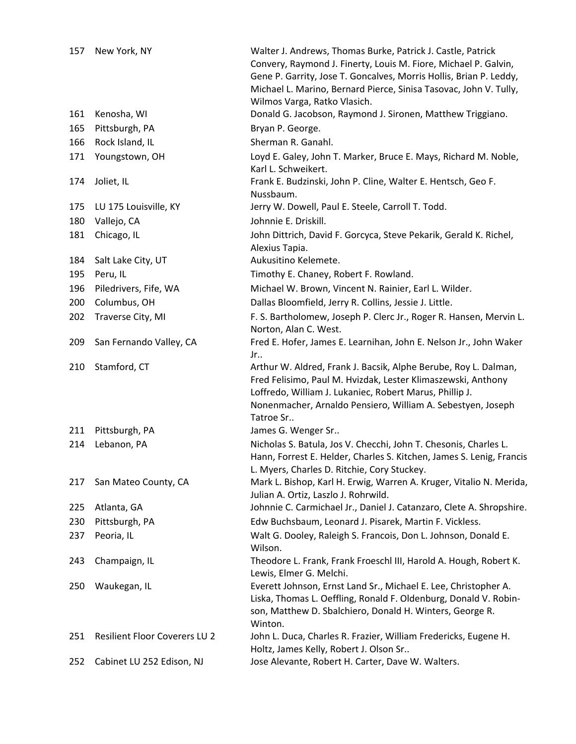| 157 | New York, NY                         | Walter J. Andrews, Thomas Burke, Patrick J. Castle, Patrick<br>Convery, Raymond J. Finerty, Louis M. Fiore, Michael P. Galvin,<br>Gene P. Garrity, Jose T. Goncalves, Morris Hollis, Brian P. Leddy,<br>Michael L. Marino, Bernard Pierce, Sinisa Tasovac, John V. Tully,<br>Wilmos Varga, Ratko Vlasich. |
|-----|--------------------------------------|-----------------------------------------------------------------------------------------------------------------------------------------------------------------------------------------------------------------------------------------------------------------------------------------------------------|
| 161 | Kenosha, WI                          | Donald G. Jacobson, Raymond J. Sironen, Matthew Triggiano.                                                                                                                                                                                                                                                |
| 165 | Pittsburgh, PA                       | Bryan P. George.                                                                                                                                                                                                                                                                                          |
| 166 | Rock Island, IL                      | Sherman R. Ganahl.                                                                                                                                                                                                                                                                                        |
| 171 | Youngstown, OH                       | Loyd E. Galey, John T. Marker, Bruce E. Mays, Richard M. Noble,<br>Karl L. Schweikert.                                                                                                                                                                                                                    |
| 174 | Joliet, IL                           | Frank E. Budzinski, John P. Cline, Walter E. Hentsch, Geo F.<br>Nussbaum.                                                                                                                                                                                                                                 |
| 175 | LU 175 Louisville, KY                | Jerry W. Dowell, Paul E. Steele, Carroll T. Todd.                                                                                                                                                                                                                                                         |
| 180 | Vallejo, CA                          | Johnnie E. Driskill.                                                                                                                                                                                                                                                                                      |
| 181 | Chicago, IL                          | John Dittrich, David F. Gorcyca, Steve Pekarik, Gerald K. Richel,<br>Alexius Tapia.                                                                                                                                                                                                                       |
| 184 | Salt Lake City, UT                   | Aukusitino Kelemete.                                                                                                                                                                                                                                                                                      |
| 195 | Peru, IL                             | Timothy E. Chaney, Robert F. Rowland.                                                                                                                                                                                                                                                                     |
| 196 | Piledrivers, Fife, WA                | Michael W. Brown, Vincent N. Rainier, Earl L. Wilder.                                                                                                                                                                                                                                                     |
| 200 | Columbus, OH                         | Dallas Bloomfield, Jerry R. Collins, Jessie J. Little.                                                                                                                                                                                                                                                    |
| 202 | Traverse City, MI                    | F. S. Bartholomew, Joseph P. Clerc Jr., Roger R. Hansen, Mervin L.<br>Norton, Alan C. West.                                                                                                                                                                                                               |
| 209 | San Fernando Valley, CA              | Fred E. Hofer, James E. Learnihan, John E. Nelson Jr., John Waker<br>Jr                                                                                                                                                                                                                                   |
| 210 | Stamford, CT                         | Arthur W. Aldred, Frank J. Bacsik, Alphe Berube, Roy L. Dalman,<br>Fred Felisimo, Paul M. Hvizdak, Lester Klimaszewski, Anthony<br>Loffredo, William J. Lukaniec, Robert Marus, Phillip J.<br>Nonenmacher, Arnaldo Pensiero, William A. Sebestyen, Joseph<br>Tatroe Sr                                    |
| 211 | Pittsburgh, PA                       | James G. Wenger Sr                                                                                                                                                                                                                                                                                        |
| 214 | Lebanon, PA                          | Nicholas S. Batula, Jos V. Checchi, John T. Chesonis, Charles L.<br>Hann, Forrest E. Helder, Charles S. Kitchen, James S. Lenig, Francis<br>L. Myers, Charles D. Ritchie, Cory Stuckey.                                                                                                                   |
| 217 | San Mateo County, CA                 | Mark L. Bishop, Karl H. Erwig, Warren A. Kruger, Vitalio N. Merida,<br>Julian A. Ortiz, Laszlo J. Rohrwild.                                                                                                                                                                                               |
| 225 | Atlanta, GA                          | Johnnie C. Carmichael Jr., Daniel J. Catanzaro, Clete A. Shropshire.                                                                                                                                                                                                                                      |
| 230 | Pittsburgh, PA                       | Edw Buchsbaum, Leonard J. Pisarek, Martin F. Vickless.                                                                                                                                                                                                                                                    |
| 237 | Peoria, IL                           | Walt G. Dooley, Raleigh S. Francois, Don L. Johnson, Donald E.<br>Wilson.                                                                                                                                                                                                                                 |
| 243 | Champaign, IL                        | Theodore L. Frank, Frank Froeschl III, Harold A. Hough, Robert K.<br>Lewis, Elmer G. Melchi.                                                                                                                                                                                                              |
| 250 | Waukegan, IL                         | Everett Johnson, Ernst Land Sr., Michael E. Lee, Christopher A.<br>Liska, Thomas L. Oeffling, Ronald F. Oldenburg, Donald V. Robin-<br>son, Matthew D. Sbalchiero, Donald H. Winters, George R.<br>Winton.                                                                                                |
| 251 | <b>Resilient Floor Coverers LU 2</b> | John L. Duca, Charles R. Frazier, William Fredericks, Eugene H.<br>Holtz, James Kelly, Robert J. Olson Sr                                                                                                                                                                                                 |
| 252 | Cabinet LU 252 Edison, NJ            | Jose Alevante, Robert H. Carter, Dave W. Walters.                                                                                                                                                                                                                                                         |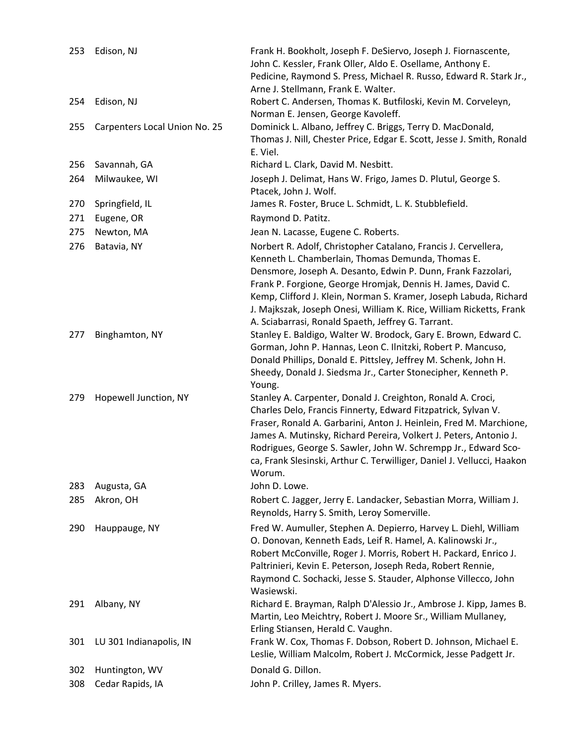| 253 | Edison, NJ                    | Frank H. Bookholt, Joseph F. DeSiervo, Joseph J. Fiornascente,<br>John C. Kessler, Frank Oller, Aldo E. Osellame, Anthony E.<br>Pedicine, Raymond S. Press, Michael R. Russo, Edward R. Stark Jr.,<br>Arne J. Stellmann, Frank E. Walter.                                                                                                                                                                                                             |
|-----|-------------------------------|-------------------------------------------------------------------------------------------------------------------------------------------------------------------------------------------------------------------------------------------------------------------------------------------------------------------------------------------------------------------------------------------------------------------------------------------------------|
| 254 | Edison, NJ                    | Robert C. Andersen, Thomas K. Butfiloski, Kevin M. Corveleyn,<br>Norman E. Jensen, George Kavoleff.                                                                                                                                                                                                                                                                                                                                                   |
| 255 | Carpenters Local Union No. 25 | Dominick L. Albano, Jeffrey C. Briggs, Terry D. MacDonald,<br>Thomas J. Nill, Chester Price, Edgar E. Scott, Jesse J. Smith, Ronald<br>E. Viel.                                                                                                                                                                                                                                                                                                       |
| 256 | Savannah, GA                  | Richard L. Clark, David M. Nesbitt.                                                                                                                                                                                                                                                                                                                                                                                                                   |
| 264 | Milwaukee, WI                 | Joseph J. Delimat, Hans W. Frigo, James D. Plutul, George S.<br>Ptacek, John J. Wolf.                                                                                                                                                                                                                                                                                                                                                                 |
| 270 | Springfield, IL               | James R. Foster, Bruce L. Schmidt, L. K. Stubblefield.                                                                                                                                                                                                                                                                                                                                                                                                |
| 271 | Eugene, OR                    | Raymond D. Patitz.                                                                                                                                                                                                                                                                                                                                                                                                                                    |
| 275 | Newton, MA                    | Jean N. Lacasse, Eugene C. Roberts.                                                                                                                                                                                                                                                                                                                                                                                                                   |
| 276 | Batavia, NY                   | Norbert R. Adolf, Christopher Catalano, Francis J. Cervellera,<br>Kenneth L. Chamberlain, Thomas Demunda, Thomas E.<br>Densmore, Joseph A. Desanto, Edwin P. Dunn, Frank Fazzolari,<br>Frank P. Forgione, George Hromjak, Dennis H. James, David C.<br>Kemp, Clifford J. Klein, Norman S. Kramer, Joseph Labuda, Richard<br>J. Majkszak, Joseph Onesi, William K. Rice, William Ricketts, Frank<br>A. Sciabarrasi, Ronald Spaeth, Jeffrey G. Tarrant. |
| 277 | Binghamton, NY                | Stanley E. Baldigo, Walter W. Brodock, Gary E. Brown, Edward C.<br>Gorman, John P. Hannas, Leon C. Ilnitzki, Robert P. Mancuso,<br>Donald Phillips, Donald E. Pittsley, Jeffrey M. Schenk, John H.<br>Sheedy, Donald J. Siedsma Jr., Carter Stonecipher, Kenneth P.<br>Young.                                                                                                                                                                         |
| 279 | Hopewell Junction, NY         | Stanley A. Carpenter, Donald J. Creighton, Ronald A. Croci,<br>Charles Delo, Francis Finnerty, Edward Fitzpatrick, Sylvan V.<br>Fraser, Ronald A. Garbarini, Anton J. Heinlein, Fred M. Marchione,<br>James A. Mutinsky, Richard Pereira, Volkert J. Peters, Antonio J.<br>Rodrigues, George S. Sawler, John W. Schrempp Jr., Edward Sco-<br>ca, Frank Slesinski, Arthur C. Terwilliger, Daniel J. Vellucci, Haakon<br>Worum.                         |
| 283 | Augusta, GA                   | John D. Lowe.                                                                                                                                                                                                                                                                                                                                                                                                                                         |
| 285 | Akron, OH                     | Robert C. Jagger, Jerry E. Landacker, Sebastian Morra, William J.<br>Reynolds, Harry S. Smith, Leroy Somerville.                                                                                                                                                                                                                                                                                                                                      |
| 290 | Hauppauge, NY                 | Fred W. Aumuller, Stephen A. Depierro, Harvey L. Diehl, William<br>O. Donovan, Kenneth Eads, Leif R. Hamel, A. Kalinowski Jr.,<br>Robert McConville, Roger J. Morris, Robert H. Packard, Enrico J.<br>Paltrinieri, Kevin E. Peterson, Joseph Reda, Robert Rennie,<br>Raymond C. Sochacki, Jesse S. Stauder, Alphonse Villecco, John<br>Wasiewski.                                                                                                     |
| 291 | Albany, NY                    | Richard E. Brayman, Ralph D'Alessio Jr., Ambrose J. Kipp, James B.<br>Martin, Leo Meichtry, Robert J. Moore Sr., William Mullaney,<br>Erling Stiansen, Herald C. Vaughn.                                                                                                                                                                                                                                                                              |
| 301 | LU 301 Indianapolis, IN       | Frank W. Cox, Thomas F. Dobson, Robert D. Johnson, Michael E.<br>Leslie, William Malcolm, Robert J. McCormick, Jesse Padgett Jr.                                                                                                                                                                                                                                                                                                                      |
| 302 | Huntington, WV                | Donald G. Dillon.                                                                                                                                                                                                                                                                                                                                                                                                                                     |
| 308 | Cedar Rapids, IA              | John P. Crilley, James R. Myers.                                                                                                                                                                                                                                                                                                                                                                                                                      |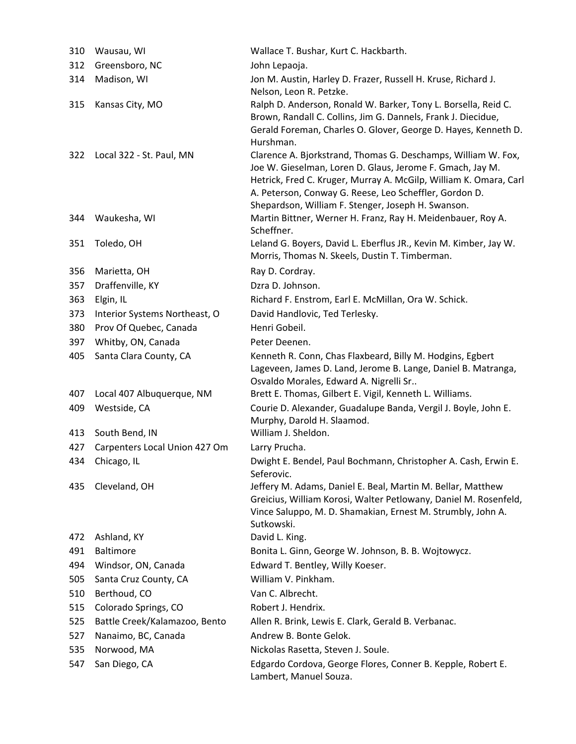| 310 | Wausau, WI                    | Wallace T. Bushar, Kurt C. Hackbarth.                                                                                                                                                                                                                                                                           |
|-----|-------------------------------|-----------------------------------------------------------------------------------------------------------------------------------------------------------------------------------------------------------------------------------------------------------------------------------------------------------------|
| 312 | Greensboro, NC                | John Lepaoja.                                                                                                                                                                                                                                                                                                   |
| 314 | Madison, WI                   | Jon M. Austin, Harley D. Frazer, Russell H. Kruse, Richard J.<br>Nelson, Leon R. Petzke.                                                                                                                                                                                                                        |
| 315 | Kansas City, MO               | Ralph D. Anderson, Ronald W. Barker, Tony L. Borsella, Reid C.<br>Brown, Randall C. Collins, Jim G. Dannels, Frank J. Diecidue,<br>Gerald Foreman, Charles O. Glover, George D. Hayes, Kenneth D.<br>Hurshman.                                                                                                  |
| 322 | Local 322 - St. Paul, MN      | Clarence A. Bjorkstrand, Thomas G. Deschamps, William W. Fox,<br>Joe W. Gieselman, Loren D. Glaus, Jerome F. Gmach, Jay M.<br>Hetrick, Fred C. Kruger, Murray A. McGilp, William K. Omara, Carl<br>A. Peterson, Conway G. Reese, Leo Scheffler, Gordon D.<br>Shepardson, William F. Stenger, Joseph H. Swanson. |
| 344 | Waukesha, WI                  | Martin Bittner, Werner H. Franz, Ray H. Meidenbauer, Roy A.<br>Scheffner.                                                                                                                                                                                                                                       |
| 351 | Toledo, OH                    | Leland G. Boyers, David L. Eberflus JR., Kevin M. Kimber, Jay W.<br>Morris, Thomas N. Skeels, Dustin T. Timberman.                                                                                                                                                                                              |
| 356 | Marietta, OH                  | Ray D. Cordray.                                                                                                                                                                                                                                                                                                 |
| 357 | Draffenville, KY              | Dzra D. Johnson.                                                                                                                                                                                                                                                                                                |
| 363 | Elgin, IL                     | Richard F. Enstrom, Earl E. McMillan, Ora W. Schick.                                                                                                                                                                                                                                                            |
| 373 | Interior Systems Northeast, O | David Handlovic, Ted Terlesky.                                                                                                                                                                                                                                                                                  |
| 380 | Prov Of Quebec, Canada        | Henri Gobeil.                                                                                                                                                                                                                                                                                                   |
| 397 | Whitby, ON, Canada            | Peter Deenen.                                                                                                                                                                                                                                                                                                   |
| 405 | Santa Clara County, CA        | Kenneth R. Conn, Chas Flaxbeard, Billy M. Hodgins, Egbert<br>Lageveen, James D. Land, Jerome B. Lange, Daniel B. Matranga,<br>Osvaldo Morales, Edward A. Nigrelli Sr                                                                                                                                            |
| 407 | Local 407 Albuquerque, NM     | Brett E. Thomas, Gilbert E. Vigil, Kenneth L. Williams.                                                                                                                                                                                                                                                         |
| 409 | Westside, CA                  | Courie D. Alexander, Guadalupe Banda, Vergil J. Boyle, John E.<br>Murphy, Darold H. Slaamod.                                                                                                                                                                                                                    |
| 413 | South Bend, IN                | William J. Sheldon.                                                                                                                                                                                                                                                                                             |
| 427 | Carpenters Local Union 427 Om | Larry Prucha.                                                                                                                                                                                                                                                                                                   |
| 434 | Chicago, IL                   | Dwight E. Bendel, Paul Bochmann, Christopher A. Cash, Erwin E.<br>Seferovic.                                                                                                                                                                                                                                    |
| 435 | Cleveland, OH                 | Jeffery M. Adams, Daniel E. Beal, Martin M. Bellar, Matthew<br>Greicius, William Korosi, Walter Petlowany, Daniel M. Rosenfeld,<br>Vince Saluppo, M. D. Shamakian, Ernest M. Strumbly, John A.<br>Sutkowski.                                                                                                    |
| 472 | Ashland, KY                   | David L. King.                                                                                                                                                                                                                                                                                                  |
| 491 | <b>Baltimore</b>              | Bonita L. Ginn, George W. Johnson, B. B. Wojtowycz.                                                                                                                                                                                                                                                             |
| 494 | Windsor, ON, Canada           | Edward T. Bentley, Willy Koeser.                                                                                                                                                                                                                                                                                |
| 505 | Santa Cruz County, CA         | William V. Pinkham.                                                                                                                                                                                                                                                                                             |
| 510 | Berthoud, CO                  | Van C. Albrecht.                                                                                                                                                                                                                                                                                                |
| 515 | Colorado Springs, CO          | Robert J. Hendrix.                                                                                                                                                                                                                                                                                              |
| 525 | Battle Creek/Kalamazoo, Bento | Allen R. Brink, Lewis E. Clark, Gerald B. Verbanac.                                                                                                                                                                                                                                                             |
| 527 | Nanaimo, BC, Canada           | Andrew B. Bonte Gelok.                                                                                                                                                                                                                                                                                          |
| 535 | Norwood, MA                   | Nickolas Rasetta, Steven J. Soule.                                                                                                                                                                                                                                                                              |
| 547 | San Diego, CA                 | Edgardo Cordova, George Flores, Conner B. Kepple, Robert E.<br>Lambert, Manuel Souza.                                                                                                                                                                                                                           |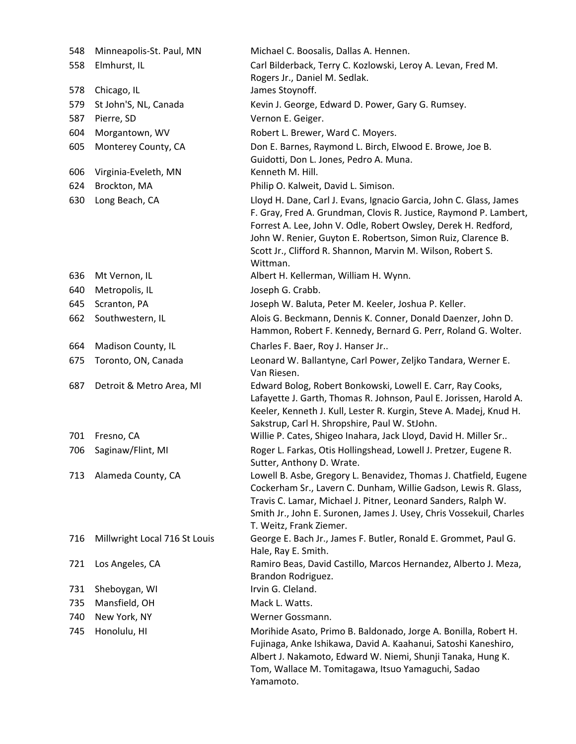| 548 | Minneapolis-St. Paul, MN      | Michael C. Boosalis, Dallas A. Hennen.                                                                                                                                                                                                                                                                                                               |
|-----|-------------------------------|------------------------------------------------------------------------------------------------------------------------------------------------------------------------------------------------------------------------------------------------------------------------------------------------------------------------------------------------------|
| 558 | Elmhurst, IL                  | Carl Bilderback, Terry C. Kozlowski, Leroy A. Levan, Fred M.<br>Rogers Jr., Daniel M. Sedlak.                                                                                                                                                                                                                                                        |
| 578 | Chicago, IL                   | James Stoynoff.                                                                                                                                                                                                                                                                                                                                      |
| 579 | St John'S, NL, Canada         | Kevin J. George, Edward D. Power, Gary G. Rumsey.                                                                                                                                                                                                                                                                                                    |
| 587 | Pierre, SD                    | Vernon E. Geiger.                                                                                                                                                                                                                                                                                                                                    |
| 604 | Morgantown, WV                | Robert L. Brewer, Ward C. Moyers.                                                                                                                                                                                                                                                                                                                    |
| 605 | Monterey County, CA           | Don E. Barnes, Raymond L. Birch, Elwood E. Browe, Joe B.<br>Guidotti, Don L. Jones, Pedro A. Muna.                                                                                                                                                                                                                                                   |
| 606 | Virginia-Eveleth, MN          | Kenneth M. Hill.                                                                                                                                                                                                                                                                                                                                     |
| 624 | Brockton, MA                  | Philip O. Kalweit, David L. Simison.                                                                                                                                                                                                                                                                                                                 |
| 630 | Long Beach, CA                | Lloyd H. Dane, Carl J. Evans, Ignacio Garcia, John C. Glass, James<br>F. Gray, Fred A. Grundman, Clovis R. Justice, Raymond P. Lambert,<br>Forrest A. Lee, John V. Odle, Robert Owsley, Derek H. Redford,<br>John W. Renier, Guyton E. Robertson, Simon Ruiz, Clarence B.<br>Scott Jr., Clifford R. Shannon, Marvin M. Wilson, Robert S.<br>Wittman. |
| 636 | Mt Vernon, IL                 | Albert H. Kellerman, William H. Wynn.                                                                                                                                                                                                                                                                                                                |
| 640 | Metropolis, IL                | Joseph G. Crabb.                                                                                                                                                                                                                                                                                                                                     |
| 645 | Scranton, PA                  | Joseph W. Baluta, Peter M. Keeler, Joshua P. Keller.                                                                                                                                                                                                                                                                                                 |
| 662 | Southwestern, IL              | Alois G. Beckmann, Dennis K. Conner, Donald Daenzer, John D.<br>Hammon, Robert F. Kennedy, Bernard G. Perr, Roland G. Wolter.                                                                                                                                                                                                                        |
| 664 | Madison County, IL            | Charles F. Baer, Roy J. Hanser Jr                                                                                                                                                                                                                                                                                                                    |
| 675 | Toronto, ON, Canada           | Leonard W. Ballantyne, Carl Power, Zeljko Tandara, Werner E.<br>Van Riesen.                                                                                                                                                                                                                                                                          |
| 687 | Detroit & Metro Area, MI      | Edward Bolog, Robert Bonkowski, Lowell E. Carr, Ray Cooks,<br>Lafayette J. Garth, Thomas R. Johnson, Paul E. Jorissen, Harold A.<br>Keeler, Kenneth J. Kull, Lester R. Kurgin, Steve A. Madej, Knud H.<br>Sakstrup, Carl H. Shropshire, Paul W. StJohn.                                                                                              |
| 701 | Fresno, CA                    | Willie P. Cates, Shigeo Inahara, Jack Lloyd, David H. Miller Sr                                                                                                                                                                                                                                                                                      |
| 706 | Saginaw/Flint, MI             | Roger L. Farkas, Otis Hollingshead, Lowell J. Pretzer, Eugene R.<br>Sutter, Anthony D. Wrate.                                                                                                                                                                                                                                                        |
| 713 | Alameda County, CA            | Lowell B. Asbe, Gregory L. Benavidez, Thomas J. Chatfield, Eugene<br>Cockerham Sr., Lavern C. Dunham, Willie Gadson, Lewis R. Glass,<br>Travis C. Lamar, Michael J. Pitner, Leonard Sanders, Ralph W.<br>Smith Jr., John E. Suronen, James J. Usey, Chris Vossekuil, Charles<br>T. Weitz, Frank Ziemer.                                              |
| 716 | Millwright Local 716 St Louis | George E. Bach Jr., James F. Butler, Ronald E. Grommet, Paul G.<br>Hale, Ray E. Smith.                                                                                                                                                                                                                                                               |
| 721 | Los Angeles, CA               | Ramiro Beas, David Castillo, Marcos Hernandez, Alberto J. Meza,<br>Brandon Rodriguez.                                                                                                                                                                                                                                                                |
| 731 | Sheboygan, WI                 | Irvin G. Cleland.                                                                                                                                                                                                                                                                                                                                    |
| 735 | Mansfield, OH                 | Mack L. Watts.                                                                                                                                                                                                                                                                                                                                       |
| 740 | New York, NY                  | Werner Gossmann.                                                                                                                                                                                                                                                                                                                                     |
| 745 | Honolulu, HI                  | Morihide Asato, Primo B. Baldonado, Jorge A. Bonilla, Robert H.<br>Fujinaga, Anke Ishikawa, David A. Kaahanui, Satoshi Kaneshiro,<br>Albert J. Nakamoto, Edward W. Niemi, Shunji Tanaka, Hung K.<br>Tom, Wallace M. Tomitagawa, Itsuo Yamaguchi, Sadao<br>Yamamoto.                                                                                  |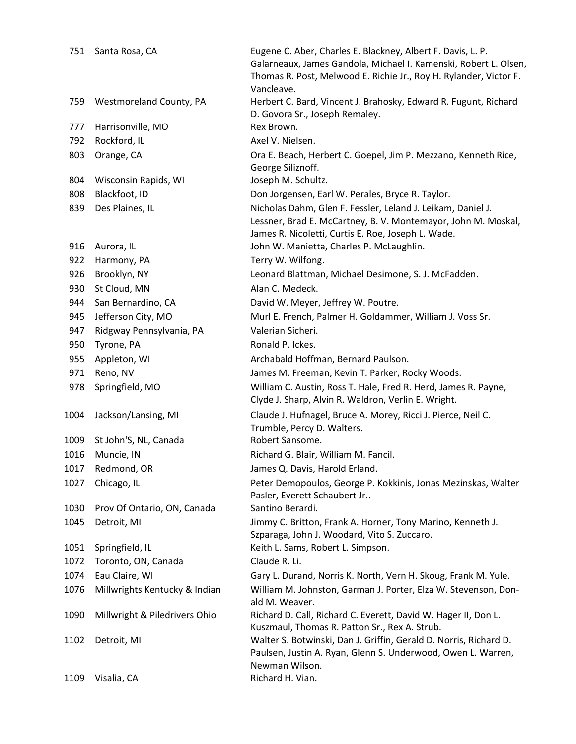| 751  | Santa Rosa, CA                | Eugene C. Aber, Charles E. Blackney, Albert F. Davis, L. P.<br>Galarneaux, James Gandola, Michael I. Kamenski, Robert L. Olsen,<br>Thomas R. Post, Melwood E. Richie Jr., Roy H. Rylander, Victor F. |
|------|-------------------------------|------------------------------------------------------------------------------------------------------------------------------------------------------------------------------------------------------|
|      |                               | Vancleave.                                                                                                                                                                                           |
| 759  | Westmoreland County, PA       | Herbert C. Bard, Vincent J. Brahosky, Edward R. Fugunt, Richard<br>D. Govora Sr., Joseph Remaley.                                                                                                    |
| 777  | Harrisonville, MO             | Rex Brown.                                                                                                                                                                                           |
| 792  | Rockford, IL                  | Axel V. Nielsen.                                                                                                                                                                                     |
| 803  | Orange, CA                    | Ora E. Beach, Herbert C. Goepel, Jim P. Mezzano, Kenneth Rice,                                                                                                                                       |
|      |                               | George Siliznoff.                                                                                                                                                                                    |
| 804  | Wisconsin Rapids, WI          | Joseph M. Schultz.                                                                                                                                                                                   |
| 808  | Blackfoot, ID                 | Don Jorgensen, Earl W. Perales, Bryce R. Taylor.                                                                                                                                                     |
| 839  | Des Plaines, IL               | Nicholas Dahm, Glen F. Fessler, Leland J. Leikam, Daniel J.<br>Lessner, Brad E. McCartney, B. V. Montemayor, John M. Moskal,<br>James R. Nicoletti, Curtis E. Roe, Joseph L. Wade.                   |
| 916  | Aurora, IL                    | John W. Manietta, Charles P. McLaughlin.                                                                                                                                                             |
| 922  | Harmony, PA                   | Terry W. Wilfong.                                                                                                                                                                                    |
| 926  | Brooklyn, NY                  | Leonard Blattman, Michael Desimone, S. J. McFadden.                                                                                                                                                  |
| 930  | St Cloud, MN                  | Alan C. Medeck.                                                                                                                                                                                      |
| 944  | San Bernardino, CA            | David W. Meyer, Jeffrey W. Poutre.                                                                                                                                                                   |
| 945  | Jefferson City, MO            | Murl E. French, Palmer H. Goldammer, William J. Voss Sr.                                                                                                                                             |
| 947  | Ridgway Pennsylvania, PA      | Valerian Sicheri.                                                                                                                                                                                    |
| 950  | Tyrone, PA                    | Ronald P. Ickes.                                                                                                                                                                                     |
| 955  | Appleton, WI                  | Archabald Hoffman, Bernard Paulson.                                                                                                                                                                  |
| 971  | Reno, NV                      | James M. Freeman, Kevin T. Parker, Rocky Woods.                                                                                                                                                      |
| 978  | Springfield, MO               | William C. Austin, Ross T. Hale, Fred R. Herd, James R. Payne,<br>Clyde J. Sharp, Alvin R. Waldron, Verlin E. Wright.                                                                                |
| 1004 | Jackson/Lansing, MI           | Claude J. Hufnagel, Bruce A. Morey, Ricci J. Pierce, Neil C.<br>Trumble, Percy D. Walters.                                                                                                           |
| 1009 | St John'S, NL, Canada         | Robert Sansome.                                                                                                                                                                                      |
| 1016 | Muncie, IN                    | Richard G. Blair, William M. Fancil.                                                                                                                                                                 |
| 1017 | Redmond, OR                   | James Q. Davis, Harold Erland.                                                                                                                                                                       |
| 1027 | Chicago, IL                   | Peter Demopoulos, George P. Kokkinis, Jonas Mezinskas, Walter<br>Pasler, Everett Schaubert Jr                                                                                                        |
| 1030 | Prov Of Ontario, ON, Canada   | Santino Berardi.                                                                                                                                                                                     |
| 1045 | Detroit, MI                   | Jimmy C. Britton, Frank A. Horner, Tony Marino, Kenneth J.                                                                                                                                           |
|      |                               | Szparaga, John J. Woodard, Vito S. Zuccaro.                                                                                                                                                          |
| 1051 | Springfield, IL               | Keith L. Sams, Robert L. Simpson.<br>Claude R. Li.                                                                                                                                                   |
| 1072 | Toronto, ON, Canada           |                                                                                                                                                                                                      |
| 1074 | Eau Claire, WI                | Gary L. Durand, Norris K. North, Vern H. Skoug, Frank M. Yule.                                                                                                                                       |
| 1076 | Millwrights Kentucky & Indian | William M. Johnston, Garman J. Porter, Elza W. Stevenson, Don-<br>ald M. Weaver.                                                                                                                     |
| 1090 | Millwright & Piledrivers Ohio | Richard D. Call, Richard C. Everett, David W. Hager II, Don L.<br>Kuszmaul, Thomas R. Patton Sr., Rex A. Strub.                                                                                      |
| 1102 | Detroit, MI                   | Walter S. Botwinski, Dan J. Griffin, Gerald D. Norris, Richard D.<br>Paulsen, Justin A. Ryan, Glenn S. Underwood, Owen L. Warren,<br>Newman Wilson.                                                  |
| 1109 | Visalia, CA                   | Richard H. Vian.                                                                                                                                                                                     |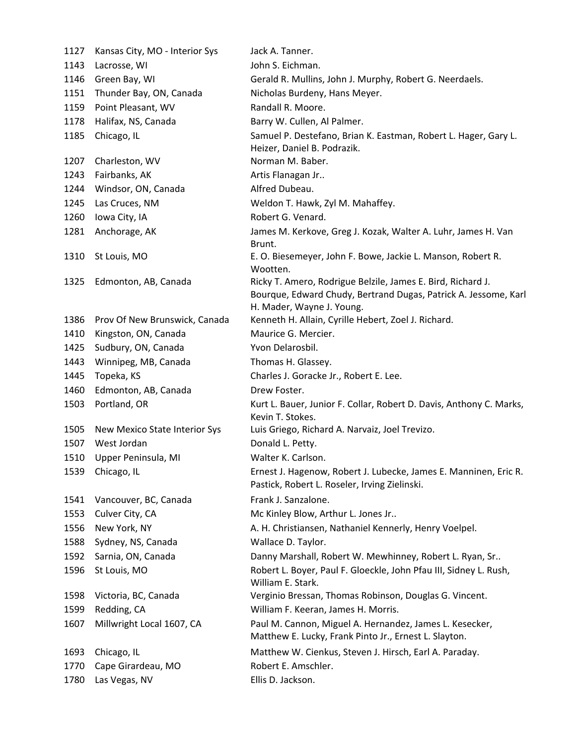| 1127 | Kansas City, MO - Interior Sys | Jack A. Tanner.                                                                                                                                             |
|------|--------------------------------|-------------------------------------------------------------------------------------------------------------------------------------------------------------|
| 1143 | Lacrosse, WI                   | John S. Eichman.                                                                                                                                            |
| 1146 | Green Bay, WI                  | Gerald R. Mullins, John J. Murphy, Robert G. Neerdaels.                                                                                                     |
| 1151 | Thunder Bay, ON, Canada        | Nicholas Burdeny, Hans Meyer.                                                                                                                               |
| 1159 | Point Pleasant, WV             | Randall R. Moore.                                                                                                                                           |
| 1178 | Halifax, NS, Canada            | Barry W. Cullen, Al Palmer.                                                                                                                                 |
| 1185 | Chicago, IL                    | Samuel P. Destefano, Brian K. Eastman, Robert L. Hager, Gary L.<br>Heizer, Daniel B. Podrazik.                                                              |
| 1207 | Charleston, WV                 | Norman M. Baber.                                                                                                                                            |
| 1243 | Fairbanks, AK                  | Artis Flanagan Jr                                                                                                                                           |
| 1244 | Windsor, ON, Canada            | Alfred Dubeau.                                                                                                                                              |
| 1245 | Las Cruces, NM                 | Weldon T. Hawk, Zyl M. Mahaffey.                                                                                                                            |
| 1260 | Iowa City, IA                  | Robert G. Venard.                                                                                                                                           |
| 1281 | Anchorage, AK                  | James M. Kerkove, Greg J. Kozak, Walter A. Luhr, James H. Van<br>Brunt.                                                                                     |
| 1310 | St Louis, MO                   | E. O. Biesemeyer, John F. Bowe, Jackie L. Manson, Robert R.<br>Wootten.                                                                                     |
| 1325 | Edmonton, AB, Canada           | Ricky T. Amero, Rodrigue Belzile, James E. Bird, Richard J.<br>Bourque, Edward Chudy, Bertrand Dugas, Patrick A. Jessome, Karl<br>H. Mader, Wayne J. Young. |
| 1386 | Prov Of New Brunswick, Canada  | Kenneth H. Allain, Cyrille Hebert, Zoel J. Richard.                                                                                                         |
| 1410 | Kingston, ON, Canada           | Maurice G. Mercier.                                                                                                                                         |
| 1425 | Sudbury, ON, Canada            | Yvon Delarosbil.                                                                                                                                            |
| 1443 | Winnipeg, MB, Canada           | Thomas H. Glassey.                                                                                                                                          |
| 1445 | Topeka, KS                     | Charles J. Goracke Jr., Robert E. Lee.                                                                                                                      |
| 1460 | Edmonton, AB, Canada           | Drew Foster.                                                                                                                                                |
| 1503 | Portland, OR                   | Kurt L. Bauer, Junior F. Collar, Robert D. Davis, Anthony C. Marks,<br>Kevin T. Stokes.                                                                     |
| 1505 | New Mexico State Interior Sys  | Luis Griego, Richard A. Narvaiz, Joel Trevizo.                                                                                                              |
| 1507 | West Jordan                    | Donald L. Petty.                                                                                                                                            |
| 1510 | Upper Peninsula, MI            | Walter K. Carlson.                                                                                                                                          |
| 1539 | Chicago, IL                    | Ernest J. Hagenow, Robert J. Lubecke, James E. Manninen, Eric R.<br>Pastick, Robert L. Roseler, Irving Zielinski.                                           |
| 1541 | Vancouver, BC, Canada          | Frank J. Sanzalone.                                                                                                                                         |
| 1553 | Culver City, CA                | Mc Kinley Blow, Arthur L. Jones Jr                                                                                                                          |
| 1556 | New York, NY                   | A. H. Christiansen, Nathaniel Kennerly, Henry Voelpel.                                                                                                      |
| 1588 | Sydney, NS, Canada             | Wallace D. Taylor.                                                                                                                                          |
| 1592 | Sarnia, ON, Canada             | Danny Marshall, Robert W. Mewhinney, Robert L. Ryan, Sr                                                                                                     |
| 1596 | St Louis, MO                   | Robert L. Boyer, Paul F. Gloeckle, John Pfau III, Sidney L. Rush,<br>William E. Stark.                                                                      |
| 1598 | Victoria, BC, Canada           | Verginio Bressan, Thomas Robinson, Douglas G. Vincent.                                                                                                      |
| 1599 | Redding, CA                    | William F. Keeran, James H. Morris.                                                                                                                         |
| 1607 | Millwright Local 1607, CA      | Paul M. Cannon, Miguel A. Hernandez, James L. Kesecker,<br>Matthew E. Lucky, Frank Pinto Jr., Ernest L. Slayton.                                            |
| 1693 | Chicago, IL                    | Matthew W. Cienkus, Steven J. Hirsch, Earl A. Paraday.                                                                                                      |
| 1770 | Cape Girardeau, MO             | Robert E. Amschler.                                                                                                                                         |
| 1780 | Las Vegas, NV                  | Ellis D. Jackson.                                                                                                                                           |
|      |                                |                                                                                                                                                             |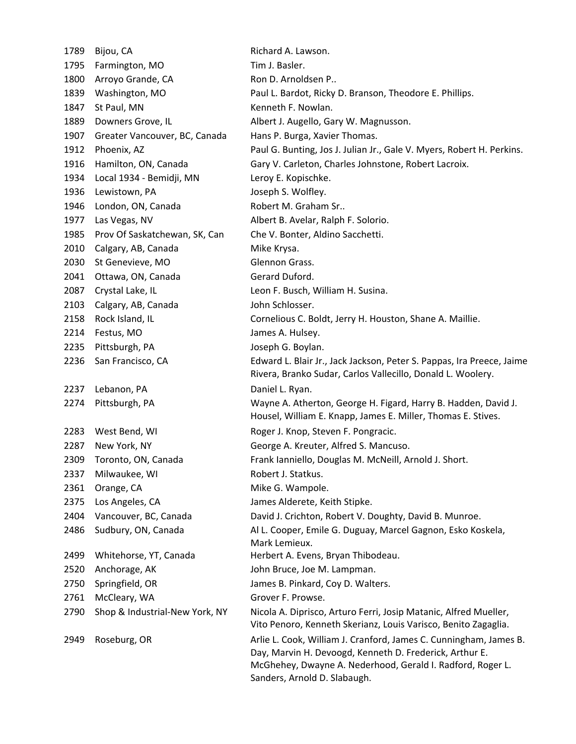| 1789 | Bijou, CA                      |
|------|--------------------------------|
| 1795 | Farmington, MO                 |
| 1800 | Arroyo Grande, CA              |
| 1839 | Washington, MO                 |
| 1847 | St Paul, MN                    |
| 1889 | Downers Grove, IL              |
| 1907 | Greater Vancouver, BC, Canada  |
| 1912 | Phoenix, AZ                    |
| 1916 | Hamilton, ON, Canada           |
| 1934 | Local 1934 - Bemidji, MN       |
| 1936 | Lewistown, PA                  |
| 1946 | London, ON, Canada             |
| 1977 | Las Vegas, NV                  |
| 1985 | Prov Of Saskatchewan, SK, Can  |
| 2010 | Calgary, AB, Canada            |
| 2030 | St Genevieve, MO               |
| 2041 | Ottawa, ON, Canada             |
| 2087 | Crystal Lake, IL               |
| 2103 | Calgary, AB, Canada            |
| 2158 | Rock Island, IL                |
| 2214 | Festus, MO                     |
| 2235 | Pittsburgh, PA                 |
| 2236 | San Francisco, CA              |
|      |                                |
| 2237 | Lebanon, PA                    |
| 2274 | Pittsburgh, PA                 |
|      |                                |
| 2283 | West Bend, WI                  |
| 2287 | New York, NY                   |
| 2309 | Toronto, ON, Canada            |
| 2337 | Milwaukee, WI                  |
| 2361 | Orange, CA                     |
| 2375 | Los Angeles, CA                |
| 2404 | Vancouver, BC, Canada          |
| 2486 | Sudbury, ON, Canada            |
| 2499 | Whitehorse, YT, Canada         |
| 2520 | Anchorage, AK                  |
| 2750 | Springfield, OR                |
| 2761 | McCleary, WA                   |
| 2790 | Shop & Industrial-New York, NY |
| 2949 | Roseburg, OR                   |
|      |                                |

Richard A. Lawson. Tim L. Basler. Ron D. Arnoldsen P.. Paul L. Bardot, Ricky D. Branson, Theodore E. Phillips. Kenneth F. Nowlan. Albert J. Augello, Gary W. Magnusson. Hans P. Burga, Xavier Thomas. Paul G. Bunting, Jos J. Julian Jr., Gale V. Myers, Robert H. Perkins. Gary V. Carleton, Charles Johnstone, Robert Lacroix. Leroy E. Kopischke. Joseph S. Wolfley. Robert M. Graham Sr.. Albert B. Avelar, Ralph F. Solorio. Che V. Bonter, Aldino Sacchetti. Mike Krysa. Glennon Grass. Gerard Duford. Leon F. Busch, William H. Susina. John Schlosser. Cornelious C. Boldt, Jerry H. Houston, Shane A. Maillie. James A. Hulsey. Joseph G. Boylan. Edward L. Blair Jr., Jack Jackson, Peter S. Pappas, Ira Preece, Jaime Rivera, Branko Sudar, Carlos Vallecillo, Donald L. Woolery. Daniel L. Ryan. Wayne A. Atherton, George H. Figard, Harry B. Hadden, David J. Housel, William E. Knapp, James E. Miller, Thomas E. Stives. Roger J. Knop, Steven F. Pongracic. George A. Kreuter, Alfred S. Mancuso. Frank Ianniello, Douglas M. McNeill, Arnold J. Short. Robert J. Statkus. Mike G. Wampole. James Alderete, Keith Stipke. David J. Crichton, Robert V. Doughty, David B. Munroe. Al L. Cooper, Emile G. Duguay, Marcel Gagnon, Esko Koskela, Mark Lemieux. Herbert A. Evens, Bryan Thibodeau. John Bruce, Joe M. Lampman. James B. Pinkard, Coy D. Walters. Grover F. Prowse. Nicola A. Diprisco, Arturo Ferri, Josip Matanic, Alfred Mueller, Vito Penoro, Kenneth Skerianz, Louis Varisco, Benito Zagaglia. Arlie L. Cook, William J. Cranford, James C. Cunningham, James B. Day, Marvin H. Devoogd, Kenneth D. Frederick, Arthur E. McGhehey, Dwayne A. Nederhood, Gerald I. Radford, Roger L. Sanders, Arnold D. Slabaugh.